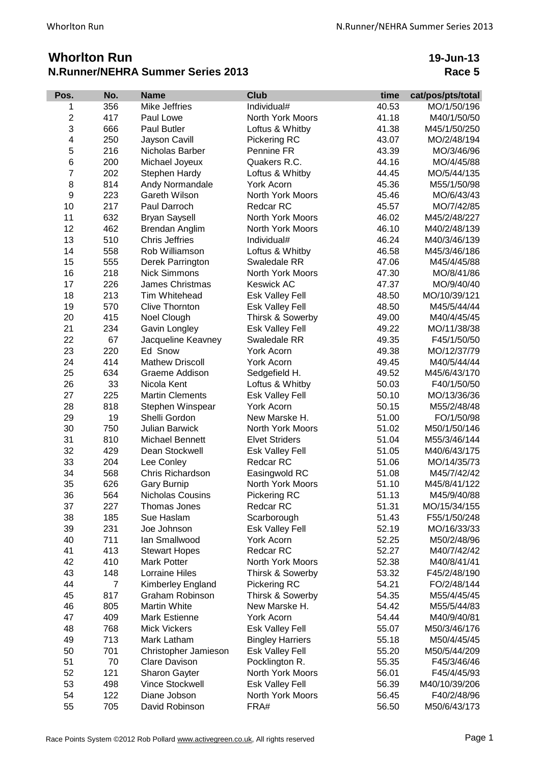## **Whorlton Run N.Runner/NEHRA Summer Series 2013**

**19-Jun-13 Race 5**

| Pos.                    | No.            | <b>Name</b>            | <b>Club</b>             | time  | cat/pos/pts/total |
|-------------------------|----------------|------------------------|-------------------------|-------|-------------------|
| 1                       | 356            | Mike Jeffries          | Individual#             | 40.53 | MO/1/50/196       |
| $\overline{2}$          | 417            | Paul Lowe              | North York Moors        | 41.18 | M40/1/50/50       |
| 3                       | 666            | Paul Butler            | Loftus & Whitby         | 41.38 | M45/1/50/250      |
| $\overline{\mathbf{4}}$ | 250            | Jayson Cavill          | Pickering RC            | 43.07 | MO/2/48/194       |
| 5                       | 216            | Nicholas Barber        | Pennine FR              | 43.39 | MO/3/46/96        |
| 6                       | 200            | Michael Joyeux         | Quakers R.C.            | 44.16 | MO/4/45/88        |
| $\overline{7}$          | 202            | Stephen Hardy          | Loftus & Whitby         | 44.45 | MO/5/44/135       |
| 8                       | 814            | Andy Normandale        | York Acorn              | 45.36 | M55/1/50/98       |
| 9                       | 223            | Gareth Wilson          | North York Moors        | 45.46 | MO/6/43/43        |
| 10                      | 217            | Paul Darroch           | Redcar RC               | 45.57 | MO/7/42/85        |
| 11                      | 632            | <b>Bryan Saysell</b>   | North York Moors        | 46.02 | M45/2/48/227      |
| 12                      | 462            | Brendan Anglim         | North York Moors        | 46.10 | M40/2/48/139      |
| 13                      | 510            | <b>Chris Jeffries</b>  | Individual#             | 46.24 | M40/3/46/139      |
| 14                      | 558            | Rob Williamson         | Loftus & Whitby         | 46.58 | M45/3/46/186      |
| 15                      | 555            | Derek Parrington       | Swaledale RR            | 47.06 | M45/4/45/88       |
| 16                      | 218            | <b>Nick Simmons</b>    | North York Moors        | 47.30 | MO/8/41/86        |
| 17                      | 226            | James Christmas        | <b>Keswick AC</b>       | 47.37 | MO/9/40/40        |
| 18                      | 213            | Tim Whitehead          | Esk Valley Fell         | 48.50 | MO/10/39/121      |
| 19                      | 570            | <b>Clive Thornton</b>  | Esk Valley Fell         | 48.50 | M45/5/44/44       |
| 20                      | 415            | Noel Clough            | Thirsk & Sowerby        | 49.00 | M40/4/45/45       |
| 21                      | 234            | Gavin Longley          | Esk Valley Fell         | 49.22 | MO/11/38/38       |
| 22                      | 67             | Jacqueline Keavney     | Swaledale RR            | 49.35 | F45/1/50/50       |
| 23                      | 220            | Ed Snow                | York Acorn              | 49.38 | MO/12/37/79       |
| 24                      | 414            | <b>Mathew Driscoll</b> | York Acorn              | 49.45 | M40/5/44/44       |
| 25                      | 634            | Graeme Addison         | Sedgefield H.           | 49.52 | M45/6/43/170      |
| 26                      | 33             | Nicola Kent            | Loftus & Whitby         | 50.03 | F40/1/50/50       |
| 27                      | 225            | <b>Martin Clements</b> | Esk Valley Fell         | 50.10 | MO/13/36/36       |
| 28                      | 818            | Stephen Winspear       | York Acorn              | 50.15 | M55/2/48/48       |
| 29                      | 19             | Shelli Gordon          | New Marske H.           | 51.00 | FO/1/50/98        |
| 30                      | 750            | <b>Julian Barwick</b>  | North York Moors        | 51.02 | M50/1/50/146      |
| 31                      | 810            | <b>Michael Bennett</b> | <b>Elvet Striders</b>   | 51.04 | M55/3/46/144      |
| 32                      | 429            | Dean Stockwell         | <b>Esk Valley Fell</b>  | 51.05 | M40/6/43/175      |
| 33                      | 204            | Lee Conley             | Redcar RC               | 51.06 | MO/14/35/73       |
| 34                      | 568            | Chris Richardson       | Easingwold RC           | 51.08 | M45/7/42/42       |
| 35                      | 626            | <b>Gary Burnip</b>     | North York Moors        | 51.10 | M45/8/41/122      |
| 36                      | 564            | Nicholas Cousins       | Pickering RC            | 51.13 | M45/9/40/88       |
| 37                      | 227            | Thomas Jones           | Redcar RC               | 51.31 | MO/15/34/155      |
| 38                      | 185            | Sue Haslam             | Scarborough             | 51.43 | F55/1/50/248      |
| 39                      | 231            | Joe Johnson            | <b>Esk Valley Fell</b>  | 52.19 | MO/16/33/33       |
| 40                      | 711            | lan Smallwood          | York Acorn              | 52.25 | M50/2/48/96       |
| 41                      | 413            | <b>Stewart Hopes</b>   | Redcar RC               | 52.27 | M40/7/42/42       |
| 42                      | 410            | Mark Potter            | North York Moors        | 52.38 | M40/8/41/41       |
| 43                      | 148            | <b>Lorraine Hiles</b>  | Thirsk & Sowerby        | 53.32 | F45/2/48/190      |
| 44                      | $\overline{7}$ | Kimberley England      | <b>Pickering RC</b>     | 54.21 | FO/2/48/144       |
| 45                      | 817            | Graham Robinson        | Thirsk & Sowerby        | 54.35 | M55/4/45/45       |
| 46                      | 805            | Martin White           | New Marske H.           | 54.42 | M55/5/44/83       |
| 47                      | 409            | Mark Estienne          | York Acorn              | 54.44 | M40/9/40/81       |
| 48                      | 768            | <b>Mick Vickers</b>    | Esk Valley Fell         | 55.07 | M50/3/46/176      |
| 49                      | 713            | Mark Latham            | <b>Bingley Harriers</b> | 55.18 | M50/4/45/45       |
| 50                      | 701            | Christopher Jamieson   | Esk Valley Fell         | 55.20 | M50/5/44/209      |
| 51                      | 70             | <b>Clare Davison</b>   | Pocklington R.          | 55.35 | F45/3/46/46       |
| 52                      | 121            | <b>Sharon Gayter</b>   | North York Moors        | 56.01 | F45/4/45/93       |
| 53                      | 498            | <b>Vince Stockwell</b> | Esk Valley Fell         | 56.39 | M40/10/39/206     |
| 54                      | 122            | Diane Jobson           | North York Moors        | 56.45 | F40/2/48/96       |
| 55                      | 705            | David Robinson         | FRA#                    | 56.50 | M50/6/43/173      |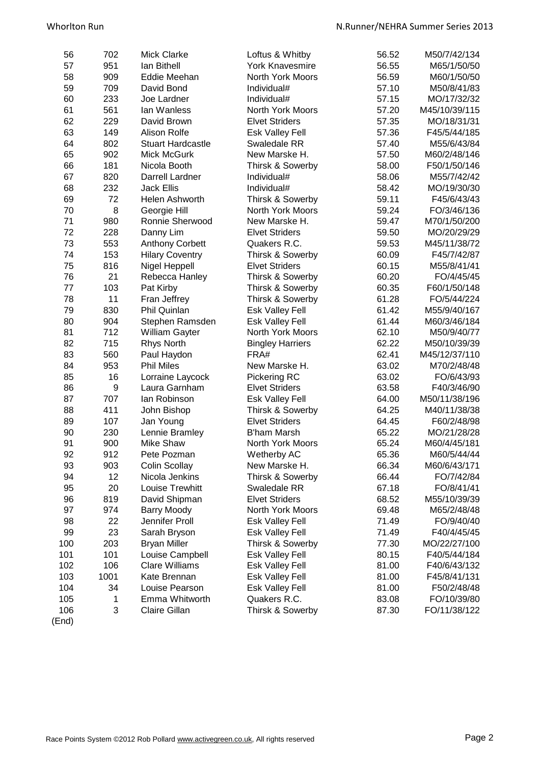| 56    | 702  | <b>Mick Clarke</b>       | Loftus & Whitby                           | 56.52 | M50/7/42/134  |
|-------|------|--------------------------|-------------------------------------------|-------|---------------|
| 57    | 951  | lan Bithell              | <b>York Knavesmire</b>                    | 56.55 | M65/1/50/50   |
| 58    | 909  | Eddie Meehan             | North York Moors                          | 56.59 | M60/1/50/50   |
| 59    | 709  | David Bond               | Individual#                               | 57.10 | M50/8/41/83   |
| 60    | 233  | Joe Lardner              | Individual#                               | 57.15 | MO/17/32/32   |
| 61    | 561  | lan Wanless              | North York Moors                          | 57.20 | M45/10/39/115 |
| 62    | 229  | David Brown              | <b>Elvet Striders</b>                     | 57.35 | MO/18/31/31   |
| 63    | 149  | Alison Rolfe             | Esk Valley Fell                           | 57.36 | F45/5/44/185  |
| 64    | 802  | <b>Stuart Hardcastle</b> | Swaledale RR                              | 57.40 | M55/6/43/84   |
| 65    | 902  | Mick McGurk              | New Marske H.                             | 57.50 | M60/2/48/146  |
| 66    | 181  | Nicola Booth             | Thirsk & Sowerby                          | 58.00 | F50/1/50/146  |
| 67    | 820  | Darrell Lardner          | Individual#                               | 58.06 | M55/7/42/42   |
| 68    | 232  | <b>Jack Ellis</b>        | Individual#                               | 58.42 | MO/19/30/30   |
| 69    | 72   | Helen Ashworth           | Thirsk & Sowerby                          | 59.11 | F45/6/43/43   |
| 70    | 8    | Georgie Hill             | North York Moors                          | 59.24 | FO/3/46/136   |
| 71    | 980  | Ronnie Sherwood          | New Marske H.                             | 59.47 | M70/1/50/200  |
| 72    | 228  | Danny Lim                | <b>Elvet Striders</b>                     | 59.50 | MO/20/29/29   |
| 73    | 553  | <b>Anthony Corbett</b>   | Quakers R.C.                              | 59.53 | M45/11/38/72  |
| 74    | 153  | <b>Hilary Coventry</b>   | Thirsk & Sowerby                          | 60.09 | F45/7/42/87   |
| 75    | 816  | Nigel Heppell            | <b>Elvet Striders</b>                     | 60.15 | M55/8/41/41   |
| 76    | 21   | Rebecca Hanley           | Thirsk & Sowerby                          | 60.20 | FO/4/45/45    |
| 77    | 103  | Pat Kirby                | Thirsk & Sowerby                          | 60.35 | F60/1/50/148  |
| 78    | 11   | Fran Jeffrey             | Thirsk & Sowerby                          | 61.28 | FO/5/44/224   |
| 79    | 830  | Phil Quinlan             | <b>Esk Valley Fell</b>                    | 61.42 | M55/9/40/167  |
| 80    | 904  | Stephen Ramsden          | Esk Valley Fell                           | 61.44 | M60/3/46/184  |
| 81    | 712  | William Gayter           | North York Moors                          | 62.10 | M50/9/40/77   |
| 82    | 715  | Rhys North               | <b>Bingley Harriers</b>                   | 62.22 | M50/10/39/39  |
| 83    | 560  | Paul Haydon              | FRA#                                      | 62.41 | M45/12/37/110 |
| 84    | 953  | <b>Phil Miles</b>        | New Marske H.                             | 63.02 | M70/2/48/48   |
| 85    | 16   | Lorraine Laycock         | Pickering RC                              | 63.02 | FO/6/43/93    |
| 86    | 9    | Laura Garnham            | <b>Elvet Striders</b>                     | 63.58 | F40/3/46/90   |
| 87    | 707  | lan Robinson             | Esk Valley Fell                           | 64.00 | M50/11/38/196 |
| 88    | 411  | John Bishop              | Thirsk & Sowerby                          | 64.25 | M40/11/38/38  |
| 89    | 107  | Jan Young                | <b>Elvet Striders</b>                     | 64.45 | F60/2/48/98   |
| 90    | 230  | Lennie Bramley           | <b>B'ham Marsh</b>                        | 65.22 | MO/21/28/28   |
| 91    | 900  | Mike Shaw                | North York Moors                          | 65.24 | M60/4/45/181  |
| 92    | 912  | Pete Pozman              | Wetherby AC                               | 65.36 | M60/5/44/44   |
| 93    | 903  | <b>Colin Scollay</b>     | New Marske H.                             | 66.34 | M60/6/43/171  |
| 94    | 12   | Nicola Jenkins           | Thirsk & Sowerby                          | 66.44 | FO/7/42/84    |
| 95    | 20   | Louise Trewhitt          | Swaledale RR                              | 67.18 | FO/8/41/41    |
| 96    | 819  | David Shipman            | <b>Elvet Striders</b>                     | 68.52 | M55/10/39/39  |
| 97    | 974  | <b>Barry Moody</b>       | North York Moors                          | 69.48 | M65/2/48/48   |
| 98    | 22   | Jennifer Proll           | Esk Valley Fell                           | 71.49 | FO/9/40/40    |
| 99    | 23   | Sarah Bryson             | <b>Esk Valley Fell</b>                    | 71.49 | F40/4/45/45   |
| 100   | 203  | <b>Bryan Miller</b>      | Thirsk & Sowerby                          | 77.30 | MO/22/27/100  |
| 101   | 101  | Louise Campbell          | <b>Esk Valley Fell</b>                    | 80.15 | F40/5/44/184  |
| 102   | 106  | <b>Clare Williams</b>    | Esk Valley Fell                           | 81.00 | F40/6/43/132  |
| 103   | 1001 | Kate Brennan             |                                           | 81.00 | F45/8/41/131  |
| 104   | 34   | Louise Pearson           | <b>Esk Valley Fell</b><br>Esk Valley Fell | 81.00 | F50/2/48/48   |
| 105   | 1    | Emma Whitworth           | Quakers R.C.                              | 83.08 | FO/10/39/80   |
| 106   | 3    | <b>Claire Gillan</b>     | Thirsk & Sowerby                          | 87.30 | FO/11/38/122  |
| (End) |      |                          |                                           |       |               |
|       |      |                          |                                           |       |               |